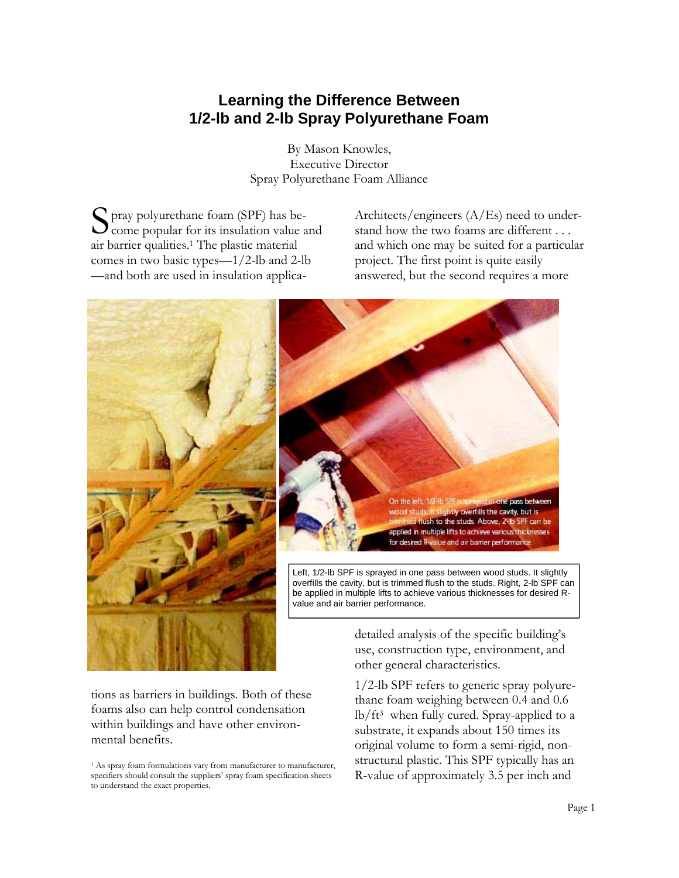# **Learning the Difference Between 1/2-lb and 2-lb Spray Polyurethane Foam**

By Mason Knowles, Executive Director Spray Polyurethane Foam Alliance

S pray polyurethane foam (SPF) has be- $\bigcup$  come popular for its insulation value and air barrier qualities.1 The plastic material comes in two basic types—1/2-lb and 2-lb —and both are used in insulation applica-

Architects/engineers (A/Es) need to understand how the two foams are different . . . and which one may be suited for a particular project. The first point is quite easily answered, but the second requires a more



tions as barriers in buildings. Both of these foams also can help control condensation within buildings and have other environmental benefits.

1/2-lb SPF refers to generic spray polyurethane foam weighing between 0.4 and 0.6 lb/ft3 when fully cured. Spray-applied to a substrate, it expands about 150 times its original volume to form a semi-rigid, nonstructural plastic. This SPF typically has an R-value of approximately 3.5 per inch and

<sup>&</sup>lt;sup>1</sup> As spray foam formulations vary from manufacturer to manufacturer, specifiers should consult the suppliers' spray foam specification sheets to understand the exact properties.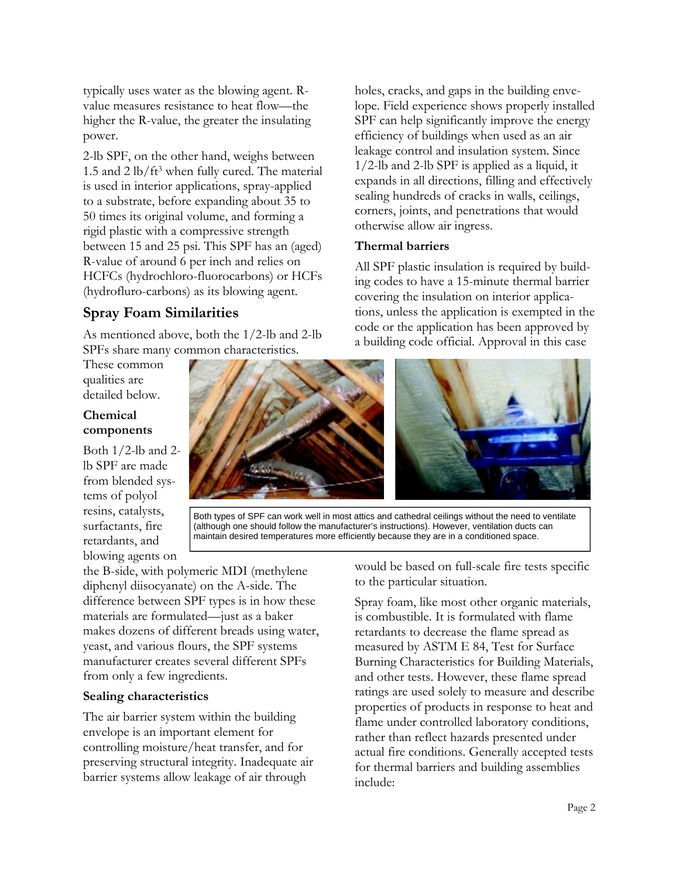typically uses water as the blowing agent. Rvalue measures resistance to heat flow—the higher the R-value, the greater the insulating power.

2-lb SPF, on the other hand, weighs between 1.5 and 2 lb/ft3 when fully cured. The material is used in interior applications, spray-applied to a substrate, before expanding about 35 to 50 times its original volume, and forming a rigid plastic with a compressive strength between 15 and 25 psi. This SPF has an (aged) R-value of around 6 per inch and relies on HCFCs (hydrochloro-fluorocarbons) or HCFs (hydrofluro-carbons) as its blowing agent.

## **Spray Foam Similarities**

As mentioned above, both the 1/2-lb and 2-lb SPFs share many common characteristics.

These common qualities are detailed below.

### **Chemical components**

Both  $1/2$ -lb and 2lb SPF are made from blended systems of polyol resins, catalysts, surfactants, fire retardants, and blowing agents on

the B-side, with polymeric MDI (methylene diphenyl diisocyanate) on the A-side. The difference between SPF types is in how these materials are formulated—just as a baker makes dozens of different breads using water, yeast, and various flours, the SPF systems manufacturer creates several different SPFs from only a few ingredients.

#### **Sealing characteristics**

The air barrier system within the building envelope is an important element for controlling moisture/heat transfer, and for preserving structural integrity. Inadequate air barrier systems allow leakage of air through

otherwise allow air ingress. **Thermal barriers**  All SPF plastic insulation is required by building codes to have a 15-minute thermal barrier covering the insulation on interior applications, unless the application is exempted in the code or the application has been approved by a building code official. Approval in this case

holes, cracks, and gaps in the building envelope. Field experience shows properly installed SPF can help significantly improve the energy efficiency of buildings when used as an air leakage control and insulation system. Since 1/2-lb and 2-lb SPF is applied as a liquid, it expands in all directions, filling and effectively sealing hundreds of cracks in walls, ceilings, corners, joints, and penetrations that would



Both types of SPF can work well in most attics and cathedral ceilings without the need to ventilate (although one should follow the manufacturer's instructions). However, ventilation ducts can maintain desired temperatures more efficiently because they are in a conditioned space.

would be based on full-scale fire tests specific to the particular situation.

Spray foam, like most other organic materials, is combustible. It is formulated with flame retardants to decrease the flame spread as measured by ASTM E 84, Test for Surface Burning Characteristics for Building Materials, and other tests. However, these flame spread ratings are used solely to measure and describe properties of products in response to heat and flame under controlled laboratory conditions, rather than reflect hazards presented under actual fire conditions. Generally accepted tests for thermal barriers and building assemblies include: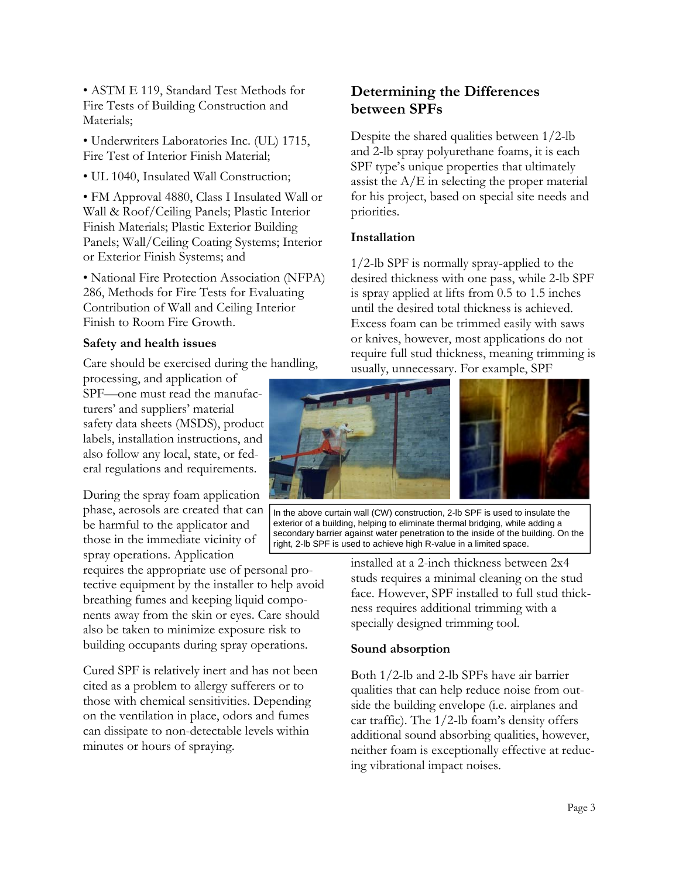• ASTM E 119, Standard Test Methods for Fire Tests of Building Construction and Materials;

• Underwriters Laboratories Inc. (UL) 1715, Fire Test of Interior Finish Material;

• UL 1040, Insulated Wall Construction;

• FM Approval 4880, Class I Insulated Wall or Wall & Roof/Ceiling Panels; Plastic Interior Finish Materials; Plastic Exterior Building Panels; Wall/Ceiling Coating Systems; Interior or Exterior Finish Systems; and

• National Fire Protection Association (NFPA) 286, Methods for Fire Tests for Evaluating Contribution of Wall and Ceiling Interior Finish to Room Fire Growth.

#### **Safety and health issues**

Care should be exercised during the handling, processing, and application of

SPF—one must read the manufacturers' and suppliers' material safety data sheets (MSDS), product labels, installation instructions, and also follow any local, state, or federal regulations and requirements.

During the spray foam application phase, aerosols are created that can be harmful to the applicator and those in the immediate vicinity of spray operations. Application

requires the appropriate use of personal protective equipment by the installer to help avoid breathing fumes and keeping liquid components away from the skin or eyes. Care should also be taken to minimize exposure risk to building occupants during spray operations.

Cured SPF is relatively inert and has not been cited as a problem to allergy sufferers or to those with chemical sensitivities. Depending on the ventilation in place, odors and fumes can dissipate to non-detectable levels within minutes or hours of spraying.

## **Determining the Differences between SPFs**

Despite the shared qualities between 1/2-lb and 2-lb spray polyurethane foams, it is each SPF type's unique properties that ultimately assist the  $A/E$  in selecting the proper material for his project, based on special site needs and priorities.

#### **Installation**

1/2-lb SPF is normally spray-applied to the desired thickness with one pass, while 2-lb SPF is spray applied at lifts from 0.5 to 1.5 inches until the desired total thickness is achieved. Excess foam can be trimmed easily with saws or knives, however, most applications do not require full stud thickness, meaning trimming is usually, unnecessary. For example, SPF



In the above curtain wall (CW) construction, 2-lb SPF is used to insulate the exterior of a building, helping to eliminate thermal bridging, while adding a secondary barrier against water penetration to the inside of the building. On the right, 2-lb SPF is used to achieve high R-value in a limited space.

> installed at a 2-inch thickness between 2x4 studs requires a minimal cleaning on the stud face. However, SPF installed to full stud thickness requires additional trimming with a specially designed trimming tool.

#### **Sound absorption**

Both 1/2-lb and 2-lb SPFs have air barrier qualities that can help reduce noise from outside the building envelope (i.e. airplanes and car traffic). The 1/2-lb foam's density offers additional sound absorbing qualities, however, neither foam is exceptionally effective at reducing vibrational impact noises.